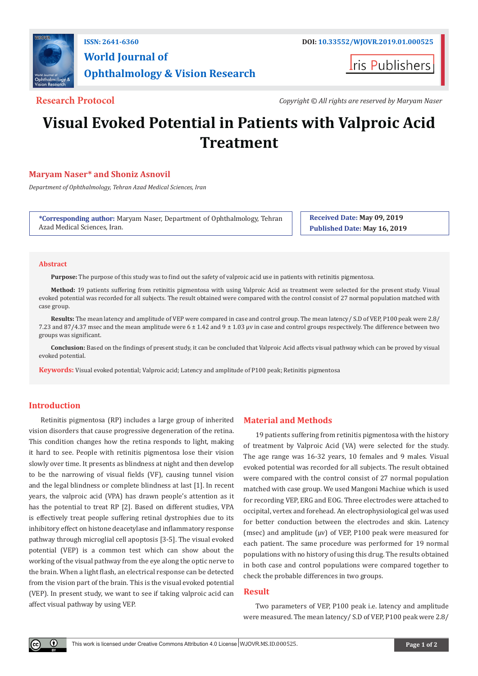

## **World Journal of Ophthalmology & Vision Research**

**Iris Publishers** 

**Research Protocol** *Copyright © All rights are reserved by Maryam Naser*

# **Visual Evoked Potential in Patients with Valproic Acid Treatment**

### **Maryam Naser\* and Shoniz Asnovil**

*Department of Ophthalmology, Tehran Azad Medical Sciences, Iran*

**\*Corresponding author:** Maryam Naser, Department of Ophthalmology, Tehran Azad Medical Sciences, Iran.

**Received Date: May 09, 2019 Published Date: May 16, 2019**

#### **Abstract**

**Purpose:** The purpose of this study was to find out the safety of valproic acid use in patients with retinitis pigmentosa.

**Method:** 19 patients suffering from retinitis pigmentosa with using Valproic Acid as treatment were selected for the present study. Visual evoked potential was recorded for all subjects. The result obtained were compared with the control consist of 27 normal population matched with case group.

**Results:** The mean latency and amplitude of VEP were compared in case and control group. The mean latency/ S.D of VEP, P100 peak were 2.8/ 7.23 and 87/4.37 msec and the mean amplitude were 6 ± 1.42 and 9 ± 1.03 µv in case and control groups respectively. The difference between two groups was significant.

**Conclusion:** Based on the findings of present study, it can be concluded that Valproic Acid affects visual pathway which can be proved by visual evoked potential.

**Keywords:** Visual evoked potential; Valproic acid; Latency and amplitude of P100 peak; Retinitis pigmentosa

### **Introduction**

 $\odot$ 

Retinitis pigmentosa (RP) includes a large group of inherited vision disorders that cause progressive degeneration of the retina. This condition changes how the retina responds to light, making it hard to see. People with retinitis pigmentosa lose their vision slowly over time. It presents as blindness at night and then develop to be the narrowing of visual fields (VF), causing tunnel vision and the legal blindness or complete blindness at last [1]. In recent years, the valproic acid (VPA) has drawn people's attention as it has the potential to treat RP [2]. Based on different studies, VPA is effectively treat people suffering retinal dystrophies due to its inhibitory effect on histone deacetylase and inflammatory response pathway through microglial cell apoptosis [3-5]. The visual evoked potential (VEP) is a common test which can show about the working of the visual pathway from the eye along the optic nerve to the brain. When a light flash, an electrical response can be detected from the vision part of the brain. This is the visual evoked potential (VEP). In present study, we want to see if taking valproic acid can affect visual pathway by using VEP.

#### **Material and Methods**

19 patients suffering from retinitis pigmentosa with the history of treatment by Valproic Acid (VA) were selected for the study. The age range was 16-32 years, 10 females and 9 males. Visual evoked potential was recorded for all subjects. The result obtained were compared with the control consist of 27 normal population matched with case group. We used Mangoni Machiue which is used for recording VEP, ERG and EOG. Three electrodes were attached to occipital, vertex and forehead. An electrophysiological gel was used for better conduction between the electrodes and skin. Latency (msec) and amplitude ( $\mu$ v) of VEP, P100 peak were measured for each patient. The same procedure was performed for 19 normal populations with no history of using this drug. The results obtained in both case and control populations were compared together to check the probable differences in two groups.

#### **Result**

Two parameters of VEP, P100 peak i.e. latency and amplitude were measured. The mean latency/ S.D of VEP, P100 peak were 2.8/